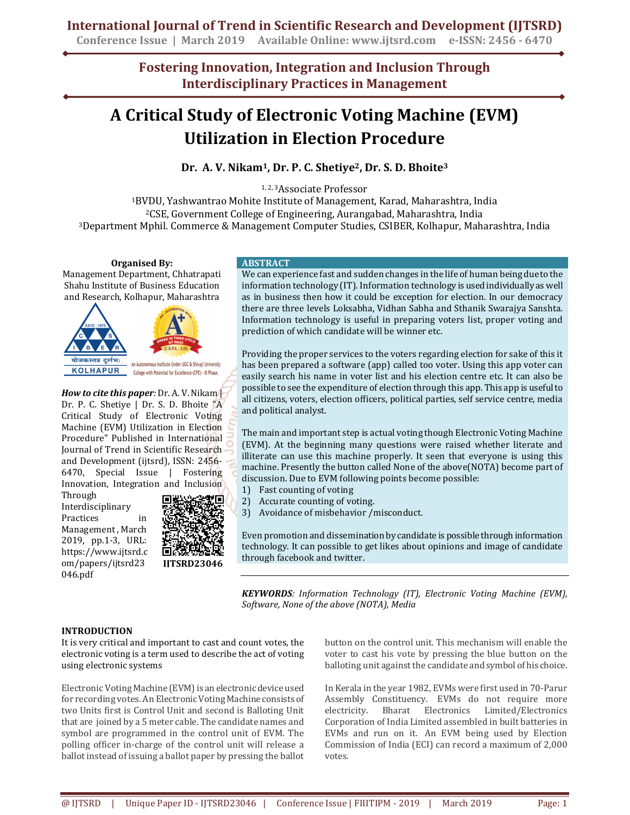**Conference Issue | March 2019 Available Online: www.ijtsrd.com e-ISSN: 2456 - 6470**

**Fostering Innovation, Integration and Inclusion Through Interdisciplinary Practices in Management**

# **A Critical Study of Electronic Voting Machine (EVM) Utilization in Election Procedure**

**Dr. A. V. Nikam1, Dr. P. C. Shetiye2, Dr. S. D. Bhoite<sup>3</sup>**

1, 2, 3Associate Professor

<sup>1</sup>BVDU, Yashwantrao Mohite Institute of Management, Karad, Maharashtra, India <sup>2</sup>CSE, Government College of Engineering, Aurangabad, Maharashtra, India <sup>3</sup>Department Mphil. Commerce & Management Computer Studies, CSIBER, Kolhapur, Maharashtra, India

**Organised By:** 

Management Department, Chhatrapati Shahu Institute of Business Education and Research, Kolhapur, Maharashtra



*How to cite this paper:* Dr. A. V. Nikam | Dr. P. C. Shetiye | Dr. S. D. Bhoite "A Critical Study of Electronic Voting Machine (EVM) Utilization in Election Procedure" Published in International Journal of Trend in Scientific Research and Development (ijtsrd), ISSN: 2456- 6470, Special Issue | Fostering Innovation, Integration and Inclusion

Through Interdisciplinary Practices in Management , March 2019, pp.1-3, URL: https://www.ijtsrd.c om/papers/ijtsrd23 046.pdf



**IJTSRD23046**

#### **ABSTRACT**

We can experience fast and sudden changes in the life of human being due to the information technology (IT). Information technology is used individually as well as in business then how it could be exception for election. In our democracy there are three levels Loksabha, Vidhan Sabha and Sthanik Swarajya Sanshta. Information technology is useful in preparing voters list, proper voting and prediction of which candidate will be winner etc.

Providing the proper services to the voters regarding election for sake of this it has been prepared a software (app) called too voter. Using this app voter can easily search his name in voter list and his election centre etc. It can also be possible to see the expenditure of election through this app. This app is useful to all citizens, voters, election officers, political parties, self service centre, media and political analyst.

The main and important step is actual voting though Electronic Voting Machine (EVM). At the beginning many questions were raised whether literate and illiterate can use this machine properly. It seen that everyone is using this machine. Presently the button called None of the above(NOTA) become part of discussion. Due to EVM following points become possible:

- 1) Fast counting of voting
- 2) Accurate counting of voting.
- 3) Avoidance of misbehavior /misconduct.

Even promotion and dissemination by candidate is possible through information technology. It can possible to get likes about opinions and image of candidate through facebook and twitter.

*KEYWORDS: Information Technology (IT), Electronic Voting Machine (EVM), Software, None of the above (NOTA), Media* 

# **INTRODUCTION**

It is very critical and important to cast and count votes, the electronic voting is a term used to describe the act of voting using electronic systems

Electronic Voting Machine (EVM) is an electronic device used for recording votes. An Electronic Voting Machine consists of two Units first is Control Unit and second is Balloting Unit that are joined by a 5 meter cable. The candidate names and symbol are programmed in the control unit of EVM. The polling officer in-charge of the control unit will release a ballot instead of issuing a ballot paper by pressing the ballot button on the control unit. This mechanism will enable the voter to cast his vote by pressing the blue button on the balloting unit against the candidate and symbol of his choice.

In Kerala in the year 1982, EVMs were first used in 70-Parur Assembly Constituency. EVMs do not require more electricity. Bharat Electronics Limited/Electronics Corporation of India Limited assembled in built batteries in EVMs and run on it. An EVM being used by Election Commission of India (ECI) can record a maximum of 2,000 votes.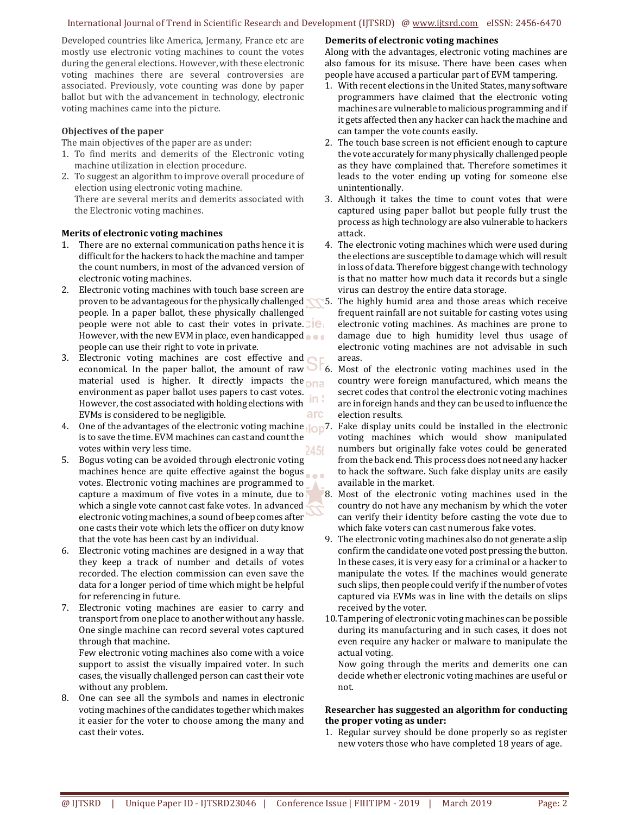# International Journal of Trend in Scientific Research and Development (IJTSRD) @ www.ijtsrd.com eISSN: 2456-6470

Developed countries like America, Jermany, France etc are mostly use electronic voting machines to count the votes during the general elections. However, with these electronic voting machines there are several controversies are associated. Previously, vote counting was done by paper ballot but with the advancement in technology, electronic voting machines came into the picture.

### **Objectives of the paper**

The main objectives of the paper are as under:

- 1. To find merits and demerits of the Electronic voting machine utilization in election procedure.
- 2. To suggest an algorithm to improve overall procedure of election using electronic voting machine. There are several merits and demerits associated with the Electronic voting machines.

#### **Merits of electronic voting machines**

- 1. There are no external communication paths hence it is difficult for the hackers to hack the machine and tamper the count numbers, in most of the advanced version of electronic voting machines.
- 2. Electronic voting machines with touch base screen are proven to be advantageous for the physically challenged people. In a paper ballot, these physically challenged people were not able to cast their votes in private. However, with the new EVM in place, even handicapped people can use their right to vote in private.
- 3. Electronic voting machines are cost effective and economical. In the paper ballot, the amount of raw material used is higher. It directly impacts the  $n$ environment as paper ballot uses papers to cast votes. However, the cost associated with holding elections with EVMs is considered to be negligible. arc
- 4. One of the advantages of the electronic voting machine <sub>100</sub>7. Fake display units could be installed in the electronic is to save the time. EVM machines can cast and count the votes within very less time. 24.56
- 5. Bogus voting can be avoided through electronic voting machines hence are quite effective against the bogus votes. Electronic voting machines are programmed to capture a maximum of five votes in a minute, due to which a single vote cannot cast fake votes. In advanced electronic voting machines, a sound of beep comes after one casts their vote which lets the officer on duty know that the vote has been cast by an individual.
- 6. Electronic voting machines are designed in a way that they keep a track of number and details of votes recorded. The election commission can even save the data for a longer period of time which might be helpful for referencing in future.
- 7. Electronic voting machines are easier to carry and transport from one place to another without any hassle. One single machine can record several votes captured through that machine.

Few electronic voting machines also come with a voice support to assist the visually impaired voter. In such cases, the visually challenged person can cast their vote without any problem.

8. One can see all the symbols and names in electronic voting machines of the candidates together which makes it easier for the voter to choose among the many and cast their votes.

#### **Demerits of electronic voting machines**

Along with the advantages, electronic voting machines are also famous for its misuse. There have been cases when people have accused a particular part of EVM tampering.

- 1. With recent elections in the United States, many software programmers have claimed that the electronic voting machines are vulnerable to malicious programming and if it gets affected then any hacker can hack the machine and can tamper the vote counts easily.
- 2. The touch base screen is not efficient enough to capture the vote accurately for many physically challenged people as they have complained that. Therefore sometimes it leads to the voter ending up voting for someone else unintentionally.
- 3. Although it takes the time to count votes that were captured using paper ballot but people fully trust the process as high technology are also vulnerable to hackers attack.
- 4. The electronic voting machines which were used during the elections are susceptible to damage which will result in loss of data. Therefore biggest change with technology is that no matter how much data it records but a single virus can destroy the entire data storage.
- 5. The highly humid area and those areas which receive frequent rainfall are not suitable for casting votes using electronic voting machines. As machines are prone to damage due to high humidity level thus usage of electronic voting machines are not advisable in such areas.
- 6. Most of the electronic voting machines used in the country were foreign manufactured, which means the secret codes that control the electronic voting machines are in foreign hands and they can be used to influence the election results.
	- voting machines which would show manipulated numbers but originally fake votes could be generated from the back end. This process does not need any hacker to hack the software. Such fake display units are easily available in the market.
- 8. Most of the electronic voting machines used in the country do not have any mechanism by which the voter can verify their identity before casting the vote due to which fake voters can cast numerous fake votes.
- 9. The electronic voting machines also do not generate a slip confirm the candidate one voted post pressing the button. In these cases, it is very easy for a criminal or a hacker to manipulate the votes. If the machines would generate such slips, then people could verify if the number of votes captured via EVMs was in line with the details on slips received by the voter.
- 10.Tampering of electronic voting machines can be possible during its manufacturing and in such cases, it does not even require any hacker or malware to manipulate the actual voting.

Now going through the merits and demerits one can decide whether electronic voting machines are useful or not.

## **Researcher has suggested an algorithm for conducting the proper voting as under:**

1. Regular survey should be done properly so as register new voters those who have completed 18 years of age.